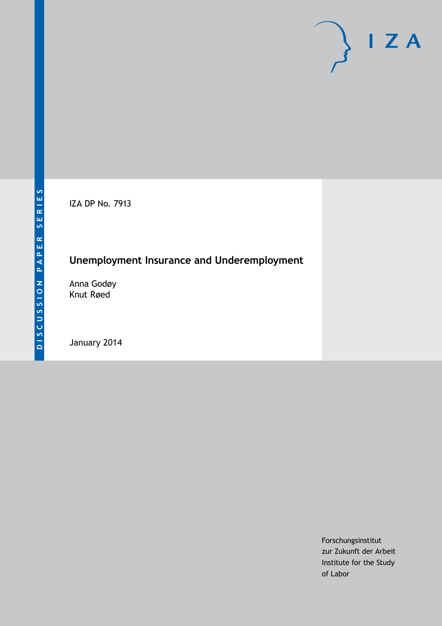IZA DP No. 7913

# **Unemployment Insurance and Underemployment**

Anna Godøy Knut Røed

January 2014

Forschungsinstitut zur Zukunft der Arbeit Institute for the Study of Labor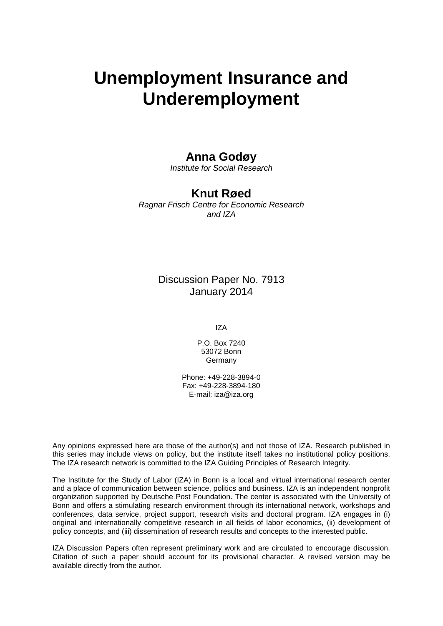# **Unemployment Insurance and Underemployment**

#### **Anna Godøy**

*Institute for Social Research*

### **Knut Røed**

*Ragnar Frisch Centre for Economic Research and IZA*

### Discussion Paper No. 7913 January 2014

IZA

P.O. Box 7240 53072 Bonn Germany

Phone: +49-228-3894-0 Fax: +49-228-3894-180 E-mail: [iza@iza.org](mailto:iza@iza.org)

Any opinions expressed here are those of the author(s) and not those of IZA. Research published in this series may include views on policy, but the institute itself takes no institutional policy positions. The IZA research network is committed to the IZA Guiding Principles of Research Integrity.

The Institute for the Study of Labor (IZA) in Bonn is a local and virtual international research center and a place of communication between science, politics and business. IZA is an independent nonprofit organization supported by Deutsche Post Foundation. The center is associated with the University of Bonn and offers a stimulating research environment through its international network, workshops and conferences, data service, project support, research visits and doctoral program. IZA engages in (i) original and internationally competitive research in all fields of labor economics, (ii) development of policy concepts, and (iii) dissemination of research results and concepts to the interested public.

<span id="page-1-0"></span>IZA Discussion Papers often represent preliminary work and are circulated to encourage discussion. Citation of such a paper should account for its provisional character. A revised version may be available directly from the author.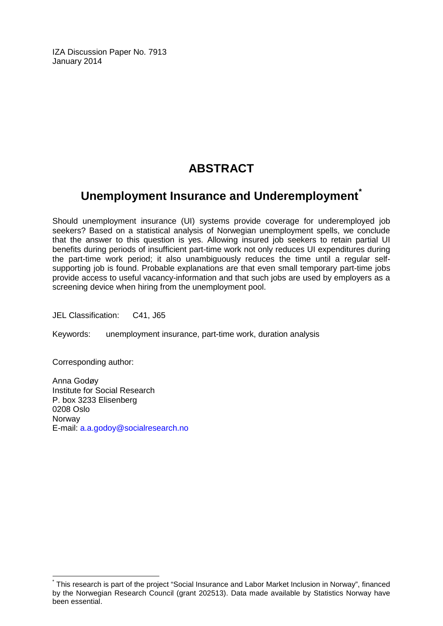IZA Discussion Paper No. 7913 January 2014

## **ABSTRACT**

### **Unemployment Insurance and Underemployment[\\*](#page-1-0)**

Should unemployment insurance (UI) systems provide coverage for underemployed job seekers? Based on a statistical analysis of Norwegian unemployment spells, we conclude that the answer to this question is yes. Allowing insured job seekers to retain partial UI benefits during periods of insufficient part-time work not only reduces UI expenditures during the part-time work period; it also unambiguously reduces the time until a regular selfsupporting job is found. Probable explanations are that even small temporary part-time jobs provide access to useful vacancy-information and that such jobs are used by employers as a screening device when hiring from the unemployment pool.

JEL Classification: C41, J65

Keywords: unemployment insurance, part-time work, duration analysis

Corresponding author:

Anna Godøy Institute for Social Research P. box 3233 Elisenberg 0208 Oslo Norway E-mail: [a.a.godoy@socialresearch.no](mailto:a.a.godoy@socialresearch.no)

\* This research is part of the project "Social Insurance and Labor Market Inclusion in Norway", financed by the Norwegian Research Council (grant 202513). Data made available by Statistics Norway have been essential.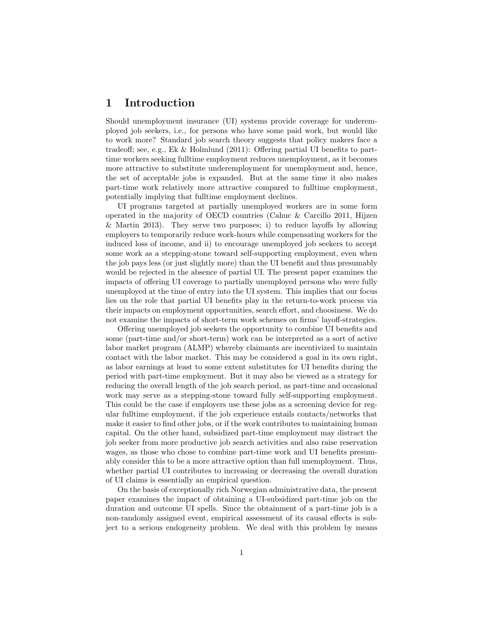#### 1 Introduction

Should unemployment insurance (UI) systems provide coverage for underemployed job seekers, i.e., for persons who have some paid work, but would like to work more? Standard job search theory suggests that policy makers face a tradeoff; see, e.g., Ek & Holmlund (2011): Offering partial UI benefits to parttime workers seeking fulltime employment reduces unemployment, as it becomes more attractive to substitute underemployment for unemployment and, hence, the set of acceptable jobs is expanded. But at the same time it also makes part-time work relatively more attractive compared to fulltime employment, potentially implying that fulltime employment declines.

UI programs targeted at partially unemployed workers are in some form operated in the majority of OECD countries (Cahuc & Carcillo 2011, Hijzen & Martin 2013). They serve two purposes; i) to reduce layoffs by allowing employers to temporarily reduce work-hours while compensating workers for the induced loss of income, and ii) to encourage unemployed job seekers to accept some work as a stepping-stone toward self-supporting employment, even when the job pays less (or just slightly more) than the UI benefit and thus presumably would be rejected in the absence of partial UI. The present paper examines the impacts of offering UI coverage to partially unemployed persons who were fully unemployed at the time of entry into the UI system. This implies that our focus lies on the role that partial UI benefits play in the return-to-work process via their impacts on employment opportunities, search effort, and choosiness. We do not examine the impacts of short-term work schemes on firms' layoff-strategies.

Offering unemployed job seekers the opportunity to combine UI benefits and some (part-time and/or short-term) work can be interpreted as a sort of active labor market program (ALMP) whereby claimants are incentivized to maintain contact with the labor market. This may be considered a goal in its own right, as labor earnings at least to some extent substitutes for UI benefits during the period with part-time employment. But it may also be viewed as a strategy for reducing the overall length of the job search period, as part-time and occasional work may serve as a stepping-stone toward fully self-supporting employment. This could be the case if employers use these jobs as a screening device for regular fulltime employment, if the job experience entails contacts/networks that make it easier to find other jobs, or if the work contributes to maintaining human capital. On the other hand, subsidized part-time employment may distract the job seeker from more productive job search activities and also raise reservation wages, as those who chose to combine part-time work and UI benefits presumably consider this to be a more attractive option than full unemployment. Thus, whether partial UI contributes to increasing or decreasing the overall duration of UI claims is essentially an empirical question.

On the basis of exceptionally rich Norwegian administrative data, the present paper examines the impact of obtaining a UI-subsidized part-time job on the duration and outcome UI spells. Since the obtainment of a part-time job is a non-randomly assigned event, empirical assessment of its causal effects is subject to a serious endogeneity problem. We deal with this problem by means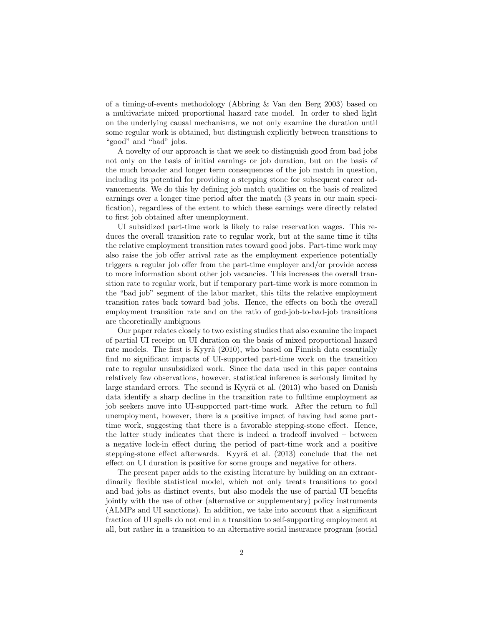of a timing-of-events methodology (Abbring & Van den Berg 2003) based on a multivariate mixed proportional hazard rate model. In order to shed light on the underlying causal mechanisms, we not only examine the duration until some regular work is obtained, but distinguish explicitly between transitions to "good" and "bad" jobs.

A novelty of our approach is that we seek to distinguish good from bad jobs not only on the basis of initial earnings or job duration, but on the basis of the much broader and longer term consequences of the job match in question, including its potential for providing a stepping stone for subsequent career advancements. We do this by defining job match qualities on the basis of realized earnings over a longer time period after the match (3 years in our main specification), regardless of the extent to which these earnings were directly related to first job obtained after unemployment.

UI subsidized part-time work is likely to raise reservation wages. This reduces the overall transition rate to regular work, but at the same time it tilts the relative employment transition rates toward good jobs. Part-time work may also raise the job offer arrival rate as the employment experience potentially triggers a regular job offer from the part-time employer and/or provide access to more information about other job vacancies. This increases the overall transition rate to regular work, but if temporary part-time work is more common in the "bad job" segment of the labor market, this tilts the relative employment transition rates back toward bad jobs. Hence, the effects on both the overall employment transition rate and on the ratio of god-job-to-bad-job transitions are theoretically ambiguous

Our paper relates closely to two existing studies that also examine the impact of partial UI receipt on UI duration on the basis of mixed proportional hazard rate models. The first is Kyyrä  $(2010)$ , who based on Finnish data essentially find no significant impacts of UI-supported part-time work on the transition rate to regular unsubsidized work. Since the data used in this paper contains relatively few observations, however, statistical inference is seriously limited by large standard errors. The second is Kyyrä et al. (2013) who based on Danish data identify a sharp decline in the transition rate to fulltime employment as job seekers move into UI-supported part-time work. After the return to full unemployment, however, there is a positive impact of having had some parttime work, suggesting that there is a favorable stepping-stone effect. Hence, the latter study indicates that there is indeed a tradeoff involved – between a negative lock-in effect during the period of part-time work and a positive stepping-stone effect afterwards. Kyyrä et al. (2013) conclude that the net effect on UI duration is positive for some groups and negative for others.

The present paper adds to the existing literature by building on an extraordinarily flexible statistical model, which not only treats transitions to good and bad jobs as distinct events, but also models the use of partial UI benefits jointly with the use of other (alternative or supplementary) policy instruments (ALMPs and UI sanctions). In addition, we take into account that a significant fraction of UI spells do not end in a transition to self-supporting employment at all, but rather in a transition to an alternative social insurance program (social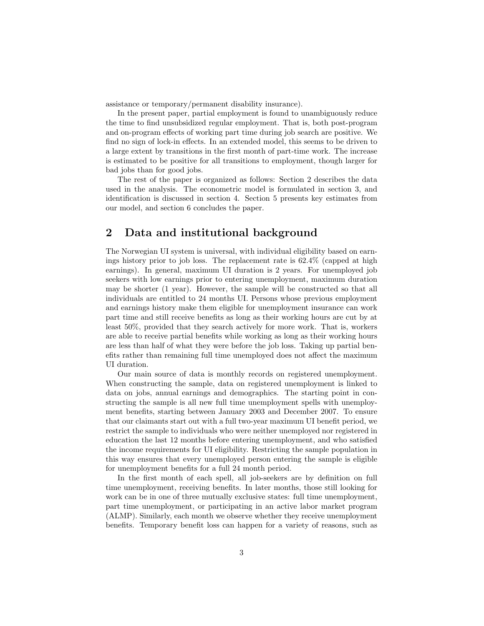assistance or temporary/permanent disability insurance).

In the present paper, partial employment is found to unambiguously reduce the time to find unsubsidized regular employment. That is, both post-program and on-program effects of working part time during job search are positive. We find no sign of lock-in effects. In an extended model, this seems to be driven to a large extent by transitions in the first month of part-time work. The increase is estimated to be positive for all transitions to employment, though larger for bad jobs than for good jobs.

The rest of the paper is organized as follows: Section 2 describes the data used in the analysis. The econometric model is formulated in section 3, and identification is discussed in section 4. Section 5 presents key estimates from our model, and section 6 concludes the paper.

#### 2 Data and institutional background

The Norwegian UI system is universal, with individual eligibility based on earnings history prior to job loss. The replacement rate is 62.4% (capped at high earnings). In general, maximum UI duration is 2 years. For unemployed job seekers with low earnings prior to entering unemployment, maximum duration may be shorter (1 year). However, the sample will be constructed so that all individuals are entitled to 24 months UI. Persons whose previous employment and earnings history make them eligible for unemployment insurance can work part time and still receive benefits as long as their working hours are cut by at least 50%, provided that they search actively for more work. That is, workers are able to receive partial benefits while working as long as their working hours are less than half of what they were before the job loss. Taking up partial benefits rather than remaining full time unemployed does not affect the maximum UI duration.

Our main source of data is monthly records on registered unemployment. When constructing the sample, data on registered unemployment is linked to data on jobs, annual earnings and demographics. The starting point in constructing the sample is all new full time unemployment spells with unemployment benefits, starting between January 2003 and December 2007. To ensure that our claimants start out with a full two-year maximum UI benefit period, we restrict the sample to individuals who were neither unemployed nor registered in education the last 12 months before entering unemployment, and who satisfied the income requirements for UI eligibility. Restricting the sample population in this way ensures that every unemployed person entering the sample is eligible for unemployment benefits for a full 24 month period.

In the first month of each spell, all job-seekers are by definition on full time unemployment, receiving benefits. In later months, those still looking for work can be in one of three mutually exclusive states: full time unemployment, part time unemployment, or participating in an active labor market program (ALMP). Similarly, each month we observe whether they receive unemployment benefits. Temporary benefit loss can happen for a variety of reasons, such as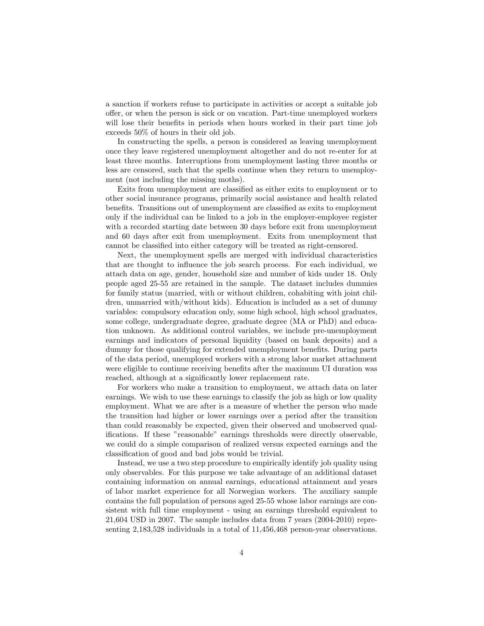a sanction if workers refuse to participate in activities or accept a suitable job offer, or when the person is sick or on vacation. Part-time unemployed workers will lose their benefits in periods when hours worked in their part time job exceeds 50% of hours in their old job.

In constructing the spells, a person is considered as leaving unemployment once they leave registered unemployment altogether and do not re-enter for at least three months. Interruptions from unemployment lasting three months or less are censored, such that the spells continue when they return to unemployment (not including the missing moths).

Exits from unemployment are classified as either exits to employment or to other social insurance programs, primarily social assistance and health related benefits. Transitions out of unemployment are classified as exits to employment only if the individual can be linked to a job in the employer-employee register with a recorded starting date between 30 days before exit from unemployment and 60 days after exit from unemployment. Exits from unemployment that cannot be classified into either category will be treated as right-censored.

Next, the unemployment spells are merged with individual characteristics that are thought to influence the job search process. For each individual, we attach data on age, gender, household size and number of kids under 18. Only people aged 25-55 are retained in the sample. The dataset includes dummies for family status (married, with or without children, cohabiting with joint children, unmarried with/without kids). Education is included as a set of dummy variables: compulsory education only, some high school, high school graduates, some college, undergraduate degree, graduate degree (MA or PhD) and education unknown. As additional control variables, we include pre-unemployment earnings and indicators of personal liquidity (based on bank deposits) and a dummy for those qualifying for extended unemployment benefits. During parts of the data period, unemployed workers with a strong labor market attachment were eligible to continue receiving benefits after the maximum UI duration was reached, although at a significantly lower replacement rate.

For workers who make a transition to employment, we attach data on later earnings. We wish to use these earnings to classify the job as high or low quality employment. What we are after is a measure of whether the person who made the transition had higher or lower earnings over a period after the transition than could reasonably be expected, given their observed and unobserved qualifications. If these "reasonable" earnings thresholds were directly observable, we could do a simple comparison of realized versus expected earnings and the classification of good and bad jobs would be trivial.

Instead, we use a two step procedure to empirically identify job quality using only observables. For this purpose we take advantage of an additional dataset containing information on annual earnings, educational attainment and years of labor market experience for all Norwegian workers. The auxiliary sample contains the full population of persons aged 25-55 whose labor earnings are consistent with full time employment - using an earnings threshold equivalent to 21,604 USD in 2007. The sample includes data from 7 years (2004-2010) representing 2,183,528 individuals in a total of 11,456,468 person-year observations.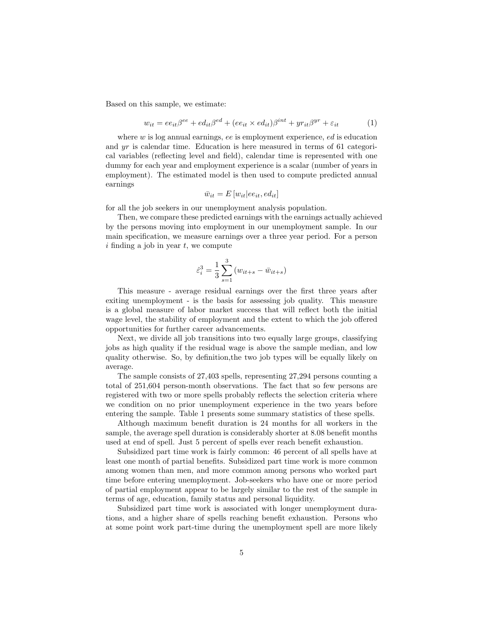Based on this sample, we estimate:

$$
w_{it} = ee_{it}\beta^{ee} + ed_{it}\beta^{ed} + (ee_{it} \times ed_{it})\beta^{int} + yr_{it}\beta^{yr} + \varepsilon_{it}
$$
 (1)

where  $w$  is log annual earnings, ee is employment experience, ed is education and yr is calendar time. Education is here measured in terms of 61 categorical variables (reflecting level and field), calendar time is represented with one dummy for each year and employment experience is a scalar (number of years in employment). The estimated model is then used to compute predicted annual earnings

$$
\bar{w}_{it} = E[w_{it}|ee_{it},ed_{it}]
$$

for all the job seekers in our unemployment analysis population.

Then, we compare these predicted earnings with the earnings actually achieved by the persons moving into employment in our unemployment sample. In our main specification, we measure earnings over a three year period. For a person  $i$  finding a job in year  $t$ , we compute

$$
\hat{\varepsilon}_i^3 = \frac{1}{3} \sum_{s=1}^3 (w_{it+s} - \bar{w}_{it+s})
$$

This measure - average residual earnings over the first three years after exiting unemployment - is the basis for assessing job quality. This measure is a global measure of labor market success that will reflect both the initial wage level, the stability of employment and the extent to which the job offered opportunities for further career advancements.

Next, we divide all job transitions into two equally large groups, classifying jobs as high quality if the residual wage is above the sample median, and low quality otherwise. So, by definition,the two job types will be equally likely on average.

The sample consists of 27,403 spells, representing 27,294 persons counting a total of 251,604 person-month observations. The fact that so few persons are registered with two or more spells probably reflects the selection criteria where we condition on no prior unemployment experience in the two years before entering the sample. Table 1 presents some summary statistics of these spells.

Although maximum benefit duration is 24 months for all workers in the sample, the average spell duration is considerably shorter at 8.08 benefit months used at end of spell. Just 5 percent of spells ever reach benefit exhaustion.

Subsidized part time work is fairly common: 46 percent of all spells have at least one month of partial benefits. Subsidized part time work is more common among women than men, and more common among persons who worked part time before entering unemployment. Job-seekers who have one or more period of partial employment appear to be largely similar to the rest of the sample in terms of age, education, family status and personal liquidity.

Subsidized part time work is associated with longer unemployment durations, and a higher share of spells reaching benefit exhaustion. Persons who at some point work part-time during the unemployment spell are more likely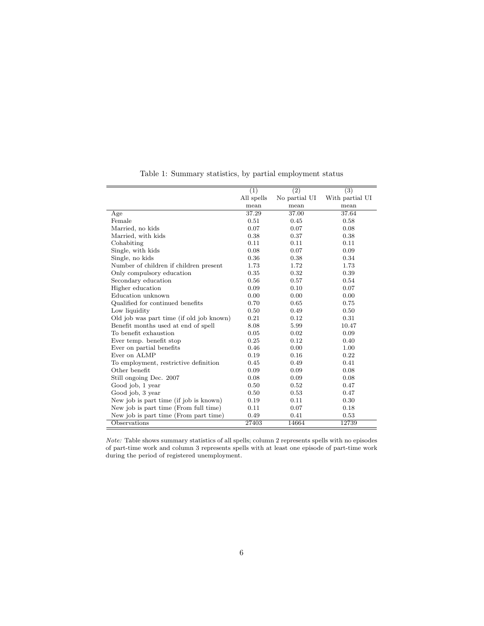|                                          | $\overline{(1)}$ | $\overline{(2)}$ | $\overline{(3)}$ |
|------------------------------------------|------------------|------------------|------------------|
|                                          | All spells       | No partial UI    | With partial UI  |
|                                          | mean             | mean             | mean             |
| Age                                      | 37.29            | 37.00            | 37.64            |
| Female                                   | 0.51             | 0.45             | 0.58             |
| Married, no kids                         | 0.07             | 0.07             | 0.08             |
| Married, with kids                       | 0.38             | 0.37             | 0.38             |
| Cohabiting                               | 0.11             | 0.11             | 0.11             |
| Single, with kids                        | 0.08             | 0.07             | 0.09             |
| Single, no kids                          | 0.36             | 0.38             | 0.34             |
| Number of children if children present   | 1.73             | 1.72             | 1.73             |
| Only compulsory education                | 0.35             | 0.32             | 0.39             |
| Secondary education                      | 0.56             | 0.57             | 0.54             |
| Higher education                         | 0.09             | 0.10             | 0.07             |
| Education unknown                        | 0.00             | 0.00             | 0.00             |
| Qualified for continued benefits         | 0.70             | 0.65             | 0.75             |
| Low liquidity                            | 0.50             | 0.49             | 0.50             |
| Old job was part time (if old job known) | 0.21             | 0.12             | 0.31             |
| Benefit months used at end of spell      | 8.08             | 5.99             | 10.47            |
| To benefit exhaustion                    | 0.05             | 0.02             | 0.09             |
| Ever temp. benefit stop                  | 0.25             | 0.12             | 0.40             |
| Ever on partial benefits                 | 0.46             | 0.00             | 1.00             |
| Ever on ALMP                             | 0.19             | 0.16             | 0.22             |
| To employment, restrictive definition    | 0.45             | 0.49             | 0.41             |
| Other benefit                            | 0.09             | 0.09             | 0.08             |
| Still ongoing Dec. 2007                  | 0.08             | 0.09             | 0.08             |
| Good job, 1 year                         | 0.50             | 0.52             | 0.47             |
| Good job, 3 year                         | 0.50             | 0.53             | 0.47             |
| New job is part time (if job is known)   | 0.19             | 0.11             | 0.30             |
| New job is part time (From full time)    | 0.11             | 0.07             | 0.18             |
| New job is part time (From part time)    | 0.49             | 0.41             | 0.53             |
| Observations                             | 27403            | 14664            | 12739            |

Table 1: Summary statistics, by partial employment status

Note: Table shows summary statistics of all spells; column 2 represents spells with no episodes of part-time work and column 3 represents spells with at least one episode of part-time work during the period of registered unemployment.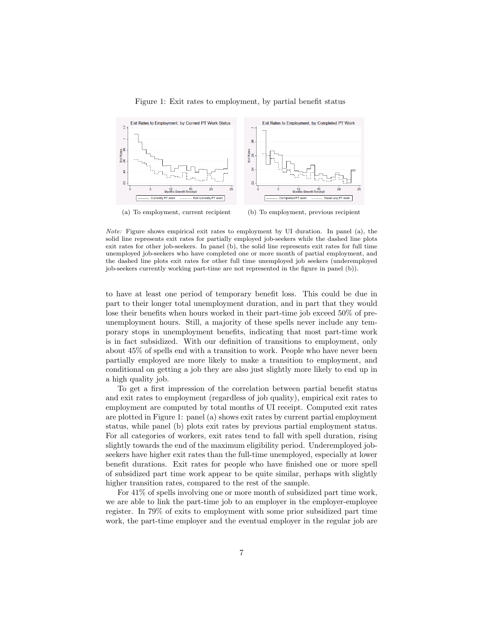

Figure 1: Exit rates to employment, by partial benefit status

(a) To employment, current recipient (b) To employment, previous recipient

Note: Figure shows empirical exit rates to employment by UI duration. In panel (a), the solid line represents exit rates for partially employed job-seekers while the dashed line plots exit rates for other job-seekers. In panel (b), the solid line represents exit rates for full time unemployed job-seekers who have completed one or more month of partial employment, and the dashed line plots exit rates for other full time unemployed job seekers (underemployed job-seekers currently working part-time are not represented in the figure in panel (b)).

to have at least one period of temporary benefit loss. This could be due in part to their longer total unemployment duration, and in part that they would lose their benefits when hours worked in their part-time job exceed 50% of preunemployment hours. Still, a majority of these spells never include any temporary stops in unemployment benefits, indicating that most part-time work is in fact subsidized. With our definition of transitions to employment, only about 45% of spells end with a transition to work. People who have never been partially employed are more likely to make a transition to employment, and conditional on getting a job they are also just slightly more likely to end up in a high quality job.

To get a first impression of the correlation between partial benefit status and exit rates to employment (regardless of job quality), empirical exit rates to employment are computed by total months of UI receipt. Computed exit rates are plotted in Figure 1: panel (a) shows exit rates by current partial employment status, while panel (b) plots exit rates by previous partial employment status. For all categories of workers, exit rates tend to fall with spell duration, rising slightly towards the end of the maximum eligibility period. Underemployed jobseekers have higher exit rates than the full-time unemployed, especially at lower benefit durations. Exit rates for people who have finished one or more spell of subsidized part time work appear to be quite similar, perhaps with slightly higher transition rates, compared to the rest of the sample.

For 41% of spells involving one or more month of subsidized part time work, we are able to link the part-time job to an employer in the employer-employee register. In 79% of exits to employment with some prior subsidized part time work, the part-time employer and the eventual employer in the regular job are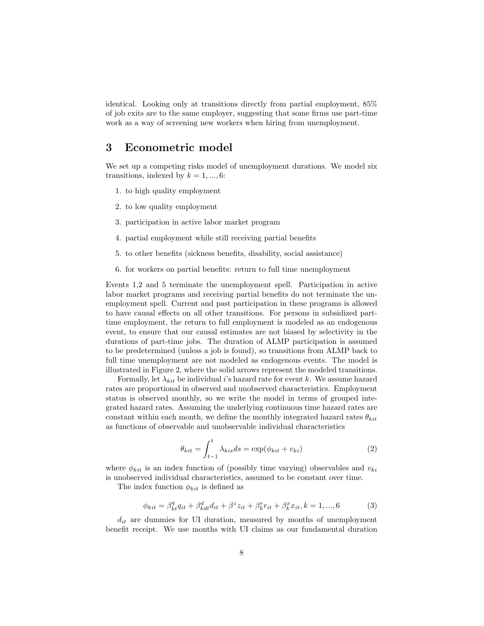identical. Looking only at transitions directly from partial employment, 85% of job exits are to the same employer, suggesting that some firms use part-time work as a way of screening new workers when hiring from unemployment.

#### 3 Econometric model

We set up a competing risks model of unemployment durations. We model six transitions, indexed by  $k = 1, ..., 6$ :

- 1. to high quality employment
- 2. to low quality employment
- 3. participation in active labor market program
- 4. partial employment while still receiving partial benefits
- 5. to other benefits (sickness benefits, disability, social assistance)
- 6. for workers on partial benefits: return to full time unemployment

Events 1,2 and 5 terminate the unemployment spell. Participation in active labor market programs and receiving partial benefits do not terminate the unemployment spell. Current and past participation in these programs is allowed to have causal effects on all other transitions. For persons in subsidized parttime employment, the return to full employment is modeled as an endogenous event, to ensure that our causal estimates are not biased by selectivity in the durations of part-time jobs. The duration of ALMP participation is assumed to be predetermined (unless a job is found), so transitions from ALMP back to full time unemployment are not modeled as endogenous events. The model is illustrated in Figure 2, where the solid arrows represent the modeled transitions.

Formally, let  $\lambda_{kit}$  be individual i's hazard rate for event k. We assume hazard rates are proportional in observed and unobserved characteristics. Employment status is observed monthly, so we write the model in terms of grouped integrated hazard rates. Assuming the underlying continuous time hazard rates are constant within each month, we define the monthly integrated hazard rates  $\theta_{kit}$ as functions of observable and unobservable individual characteristics

$$
\theta_{kit} = \int_{t-1}^{t} \lambda_{kis} ds = \exp(\phi_{kit} + v_{ki})
$$
\n(2)

where  $\phi_{kit}$  is an index function of (possibly time varying) observables and  $v_{ki}$ is unobserved individual characteristics, assumed to be constant over time.

The index function  $\phi_{kit}$  is defined as

$$
\phi_{kit} = \beta_{kt}^q q_{it} + \beta_{kdt}^d d_{it} + \beta^z z_{it} + \beta_k^r r_{it} + \beta_k^x x_{it}, k = 1, ..., 6
$$
\n(3)

 $d_{it}$  are dummies for UI duration, measured by months of unemployment benefit receipt. We use months with UI claims as our fundamental duration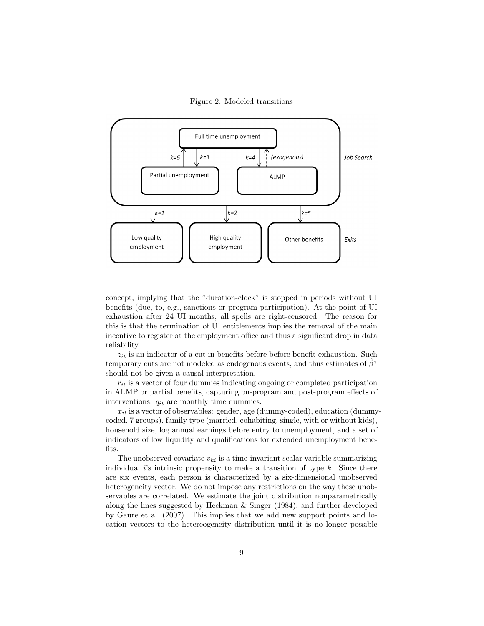Figure 2: Modeled transitions



concept, implying that the "duration-clock" is stopped in periods without UI benefits (due, to, e.g., sanctions or program participation). At the point of UI exhaustion after 24 UI months, all spells are right-censored. The reason for this is that the termination of UI entitlements implies the removal of the main incentive to register at the employment office and thus a significant drop in data reliability.

 $z_{it}$  is an indicator of a cut in benefits before before benefit exhaustion. Such temporary cuts are not modeled as endogenous events, and thus estimates of  $\hat{\beta}^z$ should not be given a causal interpretation.

 $r_{it}$  is a vector of four dummies indicating ongoing or completed participation in ALMP or partial benefits, capturing on-program and post-program effects of interventions.  $q_{it}$  are monthly time dummies.

 $x_{it}$  is a vector of observables: gender, age (dummy-coded), education (dummycoded, 7 groups), family type (married, cohabiting, single, with or without kids), household size, log annual earnings before entry to unemployment, and a set of indicators of low liquidity and qualifications for extended unemployment benefits.

The unobserved covariate  $v_{ki}$  is a time-invariant scalar variable summarizing individual i's intrinsic propensity to make a transition of type  $k$ . Since there are six events, each person is characterized by a six-dimensional unobserved heterogeneity vector. We do not impose any restrictions on the way these unobservables are correlated. We estimate the joint distribution nonparametrically along the lines suggested by Heckman & Singer (1984), and further developed by Gaure et al. (2007). This implies that we add new support points and location vectors to the hetereogeneity distribution until it is no longer possible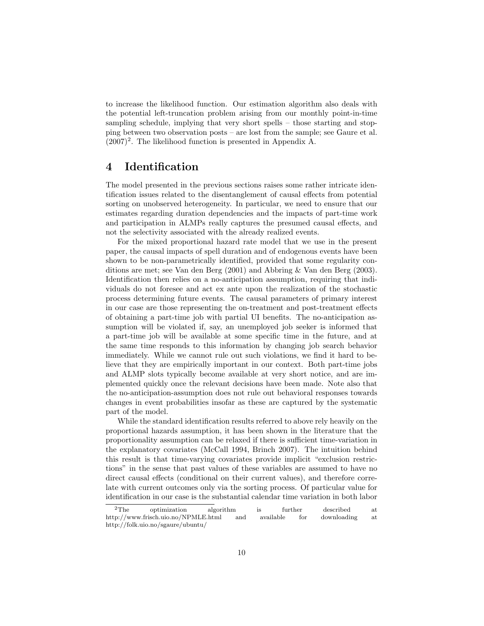to increase the likelihood function. Our estimation algorithm also deals with the potential left-truncation problem arising from our monthly point-in-time sampling schedule, implying that very short spells – those starting and stopping between two observation posts – are lost from the sample; see Gaure et al.  $(2007)^2$ . The likelihood function is presented in Appendix A.

#### 4 Identification

The model presented in the previous sections raises some rather intricate identification issues related to the disentanglement of causal effects from potential sorting on unobserved heterogeneity. In particular, we need to ensure that our estimates regarding duration dependencies and the impacts of part-time work and participation in ALMPs really captures the presumed causal effects, and not the selectivity associated with the already realized events.

For the mixed proportional hazard rate model that we use in the present paper, the causal impacts of spell duration and of endogenous events have been shown to be non-parametrically identified, provided that some regularity conditions are met; see Van den Berg (2001) and Abbring & Van den Berg (2003). Identification then relies on a no-anticipation assumption, requiring that individuals do not foresee and act ex ante upon the realization of the stochastic process determining future events. The causal parameters of primary interest in our case are those representing the on-treatment and post-treatment effects of obtaining a part-time job with partial UI benefits. The no-anticipation assumption will be violated if, say, an unemployed job seeker is informed that a part-time job will be available at some specific time in the future, and at the same time responds to this information by changing job search behavior immediately. While we cannot rule out such violations, we find it hard to believe that they are empirically important in our context. Both part-time jobs and ALMP slots typically become available at very short notice, and are implemented quickly once the relevant decisions have been made. Note also that the no-anticipation-assumption does not rule out behavioral responses towards changes in event probabilities insofar as these are captured by the systematic part of the model.

While the standard identification results referred to above rely heavily on the proportional hazards assumption, it has been shown in the literature that the proportionality assumption can be relaxed if there is sufficient time-variation in the explanatory covariates (McCall 1994, Brinch 2007). The intuition behind this result is that time-varying covariates provide implicit "exclusion restrictions" in the sense that past values of these variables are assumed to have no direct causal effects (conditional on their current values), and therefore correlate with current outcomes only via the sorting process. Of particular value for identification in our case is the substantial calendar time variation in both labor

<sup>2</sup>The optimization algorithm is further described at http://www.frisch.uio.no/NPMLE.html and available for downloading at http://folk.uio.no/sgaure/ubuntu/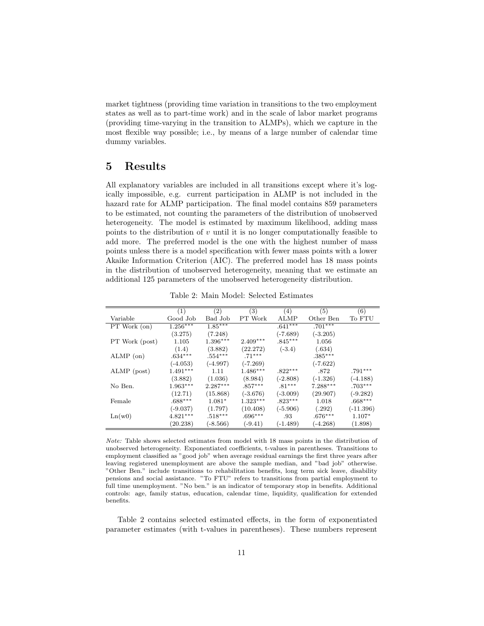market tightness (providing time variation in transitions to the two employment states as well as to part-time work) and in the scale of labor market programs (providing time-varying in the transition to ALMPs), which we capture in the most flexible way possible; i.e., by means of a large number of calendar time dummy variables.

#### 5 Results

All explanatory variables are included in all transitions except where it's logically impossible, e.g. current participation in ALMP is not included in the hazard rate for ALMP participation. The final model contains 859 parameters to be estimated, not counting the parameters of the distribution of unobserved heterogeneity. The model is estimated by maximum likelihood, adding mass points to the distribution of  $v$  until it is no longer computationally feasible to add more. The preferred model is the one with the highest number of mass points unless there is a model specification with fewer mass points with a lower Akaike Information Criterion (AIC). The preferred model has 18 mass points in the distribution of unobserved heterogeneity, meaning that we estimate an additional 125 parameters of the unobserved heterogeneity distribution.

|                | (1)        | (2)        | (3)        | (4)         | (5)        | (6)         |
|----------------|------------|------------|------------|-------------|------------|-------------|
| Variable       | Good Job   | Bad Job    | PT Work    | <b>ALMP</b> | Other Ben  | To FTU      |
| PT Work (on)   | $1.256***$ | $1.85***$  |            | $.641***$   | $.701***$  |             |
|                | (3.275)    | (7.248)    |            | $(-7.689)$  | $(-3.205)$ |             |
| PT Work (post) | 1.105      | $1.396***$ | $2.409***$ | $.845***$   | 1.056      |             |
|                | (1.4)      | (3.882)    | (22.272)   | $(-3.4)$    | (.634)     |             |
| $ALMP$ (on)    | $.634***$  | $.554***$  | $.71***$   |             | $.385***$  |             |
|                | $(-4.053)$ | $(-4.997)$ | $(-7.269)$ |             | $(-7.622)$ |             |
| ALMP (post)    | $1.491***$ | 1.11       | $1.486***$ | $.822***$   | .872       | $.791***$   |
|                | (3.882)    | (1.036)    | (8.984)    | $(-2.808)$  | $(-1.326)$ | $(-4.188)$  |
| No Ben.        | $1.963***$ | $2.287***$ | $.857***$  | $.81***$    | $7.288***$ | $.703***$   |
|                | (12.71)    | (15.868)   | $(-3.676)$ | $(-3.009)$  | (29.907)   | (-9.282)    |
| Female         | $.688***$  | $1.081*$   | $1.323***$ | $.823***$   | 1.018      | $.668***$   |
|                | $(-9.037)$ | (1.797)    | (10.408)   | $(-5.906)$  | (.292)     | $(-11.396)$ |
| Ln(w0)         | $4.821***$ | $.518***$  | $.696***$  | .93         | $.676***$  | $1.107*$    |
|                | (20.238)   | $(-8.566)$ | $(-9.41)$  | (-1.489)    | $(-4.268)$ | (1.898)     |

Table 2: Main Model: Selected Estimates

Note: Table shows selected estimates from model with 18 mass points in the distribution of unobserved heterogeneity. Exponentiated coefficients, t-values in parentheses. Transitions to employment classified as "good job" when average residual earnings the first three years after leaving registered unemployment are above the sample median, and "bad job" otherwise. "Other Ben." include transitions to rehabilitation benefits, long term sick leave, disability pensions and social assistance. "To FTU" refers to transitions from partial employment to full time unemployment. "No ben." is an indicator of temporary stop in benefits. Additional controls: age, family status, education, calendar time, liquidity, qualification for extended benefits.

Table 2 contains selected estimated effects, in the form of exponentiated parameter estimates (with t-values in parentheses). These numbers represent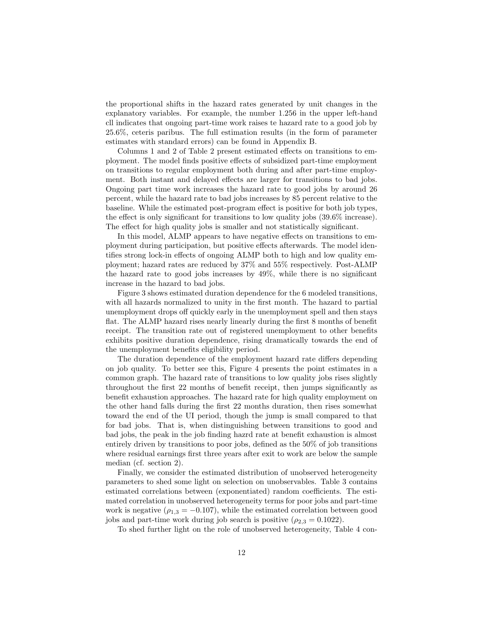the proportional shifts in the hazard rates generated by unit changes in the explanatory variables. For example, the number 1.256 in the upper left-hand cll indicates that ongoing part-time work raises te hazard rate to a good job by 25.6%, ceteris paribus. The full estimation results (in the form of parameter estimates with standard errors) can be found in Appendix B.

Columns 1 and 2 of Table 2 present estimated effects on transitions to employment. The model finds positive effects of subsidized part-time employment on transitions to regular employment both during and after part-time employment. Both instant and delayed effects are larger for transitions to bad jobs. Ongoing part time work increases the hazard rate to good jobs by around 26 percent, while the hazard rate to bad jobs increases by 85 percent relative to the baseline. While the estimated post-program effect is positive for both job types, the effect is only significant for transitions to low quality jobs (39.6% increase). The effect for high quality jobs is smaller and not statistically significant.

In this model, ALMP appears to have negative effects on transitions to employment during participation, but positive effects afterwards. The model identifies strong lock-in effects of ongoing ALMP both to high and low quality employment; hazard rates are reduced by 37% and 55% respectively. Post-ALMP the hazard rate to good jobs increases by 49%, while there is no significant increase in the hazard to bad jobs.

Figure 3 shows estimated duration dependence for the 6 modeled transitions, with all hazards normalized to unity in the first month. The hazard to partial unemployment drops off quickly early in the unemployment spell and then stays flat. The ALMP hazard rises nearly linearly during the first 8 months of benefit receipt. The transition rate out of registered unemployment to other benefits exhibits positive duration dependence, rising dramatically towards the end of the unemployment benefits eligibility period.

The duration dependence of the employment hazard rate differs depending on job quality. To better see this, Figure 4 presents the point estimates in a common graph. The hazard rate of transitions to low quality jobs rises slightly throughout the first 22 months of benefit receipt, then jumps significantly as benefit exhaustion approaches. The hazard rate for high quality employment on the other hand falls during the first 22 months duration, then rises somewhat toward the end of the UI period, though the jump is small compared to that for bad jobs. That is, when distinguishing between transitions to good and bad jobs, the peak in the job finding hazrd rate at benefit exhaustion is almost entirely driven by transitions to poor jobs, defined as the 50% of job transitions where residual earnings first three years after exit to work are below the sample median (cf. section 2).

Finally, we consider the estimated distribution of unobserved heterogeneity parameters to shed some light on selection on unobservables. Table 3 contains estimated correlations between (exponentiated) random coefficients. The estimated correlation in unobserved heterogeneity terms for poor jobs and part-time work is negative ( $\rho_{1,3} = -0.107$ ), while the estimated correlation between good jobs and part-time work during job search is positive  $(\rho_{2,3} = 0.1022)$ .

To shed further light on the role of unobserved heterogeneity, Table 4 con-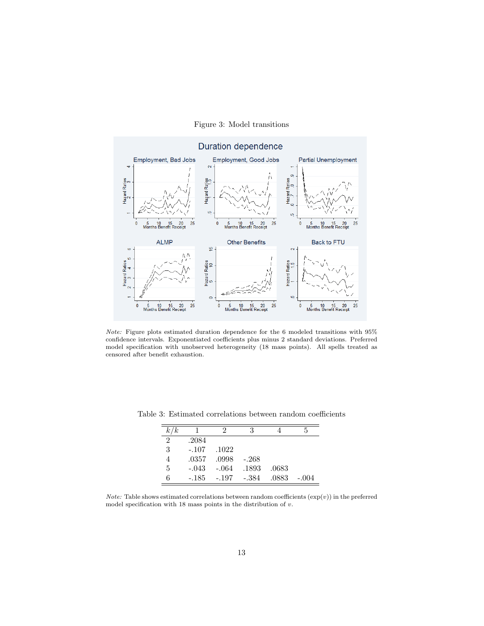

#### Figure 3: Model transitions

Note: Figure plots estimated duration dependence for the 6 modeled transitions with 95% confidence intervals. Exponentiated coefficients plus minus 2 standard deviations. Preferred model specification with unobserved heterogeneity (18 mass points). All spells treated as censored after benefit exhaustion.

| k/k |         |              | 3       |       | h,      |
|-----|---------|--------------|---------|-------|---------|
| 2   | .2084   |              |         |       |         |
| 3   | $-.107$ | .1022        |         |       |         |
| 4   | .0357   | .0998        | $-.268$ |       |         |
| 5   | $-.043$ | -.064        | .1893   | .0683 |         |
| 6   | -.185   | $-.197-.384$ |         | .0883 | $-.004$ |

Table 3: Estimated correlations between random coefficients

Note: Table shows estimated correlations between random coefficients  $(\exp(v))$  in the preferred model specification with 18 mass points in the distribution of  $v$ .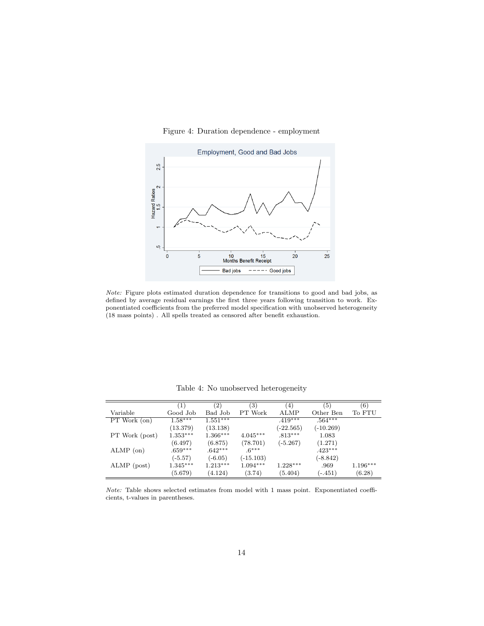#### Figure 4: Duration dependence - employment



Note: Figure plots estimated duration dependence for transitions to good and bad jobs, as defined by average residual earnings the first three years following transition to work. Exponentiated coefficients from the preferred model specification with unobserved heterogeneity (18 mass points) . All spells treated as censored after benefit exhaustion.

|                | $\left(1\right)$ | $\left( 2\right)$ | (3)         | (4)         | (5)         | (6)        |
|----------------|------------------|-------------------|-------------|-------------|-------------|------------|
| Variable       | Good Job         | Bad Job           | PT Work     | <b>ALMP</b> | Other Ben   | To FTU     |
| PT Work (on)   | $1.58***$        | $1.551***$        |             | $.419***$   | $.564***$   |            |
|                | (13.379)         | (13.138)          |             | $(-22.565)$ | $(-10.269)$ |            |
| PT Work (post) | $1.353***$       | $1.366***$        | $4.045***$  | $.813***$   | 1.083       |            |
|                | (6.497)          | (6.875)           | (78.701)    | $(-5.267)$  | (1.271)     |            |
| $ALMP$ (on)    | $.659***$        | $.642***$         | $.6***$     |             | $.423***$   |            |
|                | $(-5.57)$        | $(-6.05)$         | $(-15.103)$ |             | $(-8.842)$  |            |
| ALMP (post)    | $1.345***$       | $1.213***$        | $1.094***$  | $1.228***$  | .969        | $1.196***$ |
|                | (5.679)          | (4.124)           | (3.74)      | (5.404)     | $(-.451)$   | (6.28)     |

Table 4: No unobserved heterogeneity

Note: Table shows selected estimates from model with 1 mass point. Exponentiated coefficients, t-values in parentheses.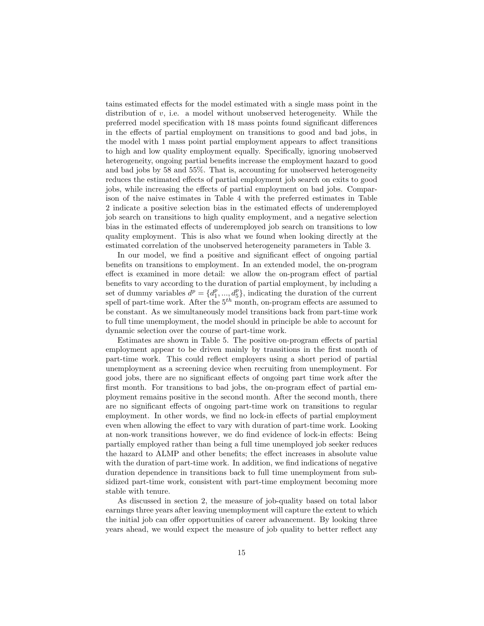tains estimated effects for the model estimated with a single mass point in the distribution of  $v$ , i.e. a model without unobserved heterogeneity. While the preferred model specification with 18 mass points found significant differences in the effects of partial employment on transitions to good and bad jobs, in the model with 1 mass point partial employment appears to affect transitions to high and low quality employment equally. Specifically, ignoring unobserved heterogeneity, ongoing partial benefits increase the employment hazard to good and bad jobs by 58 and 55%. That is, accounting for unobserved heterogeneity reduces the estimated effects of partial employment job search on exits to good jobs, while increasing the effects of partial employment on bad jobs. Comparison of the naive estimates in Table 4 with the preferred estimates in Table 2 indicate a positive selection bias in the estimated effects of underemployed job search on transitions to high quality employment, and a negative selection bias in the estimated effects of underemployed job search on transitions to low quality employment. This is also what we found when looking directly at the estimated correlation of the unobserved heterogeneity parameters in Table 3.

In our model, we find a positive and significant effect of ongoing partial benefits on transitions to employment. In an extended model, the on-program effect is examined in more detail: we allow the on-program effect of partial benefits to vary according to the duration of partial employment, by including a set of dummy variables  $d^p = \{d_1^p, ..., d_5^p\}$ , indicating the duration of the current spell of part-time work. After the  $5<sup>th</sup>$  month, on-program effects are assumed to be constant. As we simultaneously model transitions back from part-time work to full time unemployment, the model should in principle be able to account for dynamic selection over the course of part-time work.

Estimates are shown in Table 5. The positive on-program effects of partial employment appear to be driven mainly by transitions in the first month of part-time work. This could reflect employers using a short period of partial unemployment as a screening device when recruiting from unemployment. For good jobs, there are no significant effects of ongoing part time work after the first month. For transitions to bad jobs, the on-program effect of partial employment remains positive in the second month. After the second month, there are no significant effects of ongoing part-time work on transitions to regular employment. In other words, we find no lock-in effects of partial employment even when allowing the effect to vary with duration of part-time work. Looking at non-work transitions however, we do find evidence of lock-in effects: Being partially employed rather than being a full time unemployed job seeker reduces the hazard to ALMP and other benefits; the effect increases in absolute value with the duration of part-time work. In addition, we find indications of negative duration dependence in transitions back to full time unemployment from subsidized part-time work, consistent with part-time employment becoming more stable with tenure.

As discussed in section 2, the measure of job-quality based on total labor earnings three years after leaving unemployment will capture the extent to which the initial job can offer opportunities of career advancement. By looking three years ahead, we would expect the measure of job quality to better reflect any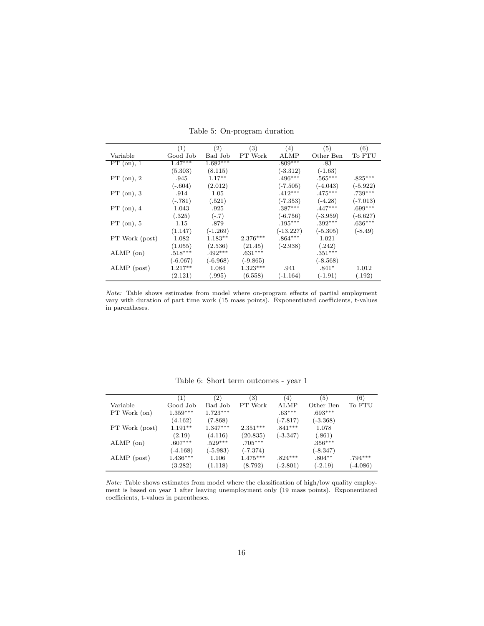|                | (1)        | (2)        | (3)        | (4)         | (5)        | (6)        |
|----------------|------------|------------|------------|-------------|------------|------------|
| Variable       | Good Job   | Bad Job    | PT Work    | <b>ALMP</b> | Other Ben  | To FTU     |
| $PT$ (on), 1   | $1.47***$  | $1.682***$ |            | $.809***$   | .83        |            |
|                | (5.303)    | (8.115)    |            | $(-3.312)$  | $(-1.63)$  |            |
| PT (on), 2     | .945       | $1.17**$   |            | $.496***$   | $.565***$  | $.825***$  |
|                | $(-.604)$  | (2.012)    |            | $(-7.505)$  | $(-4.043)$ | $(-5.922)$ |
| $PT$ (on), 3   | .914       | 1.05       |            | $.412***$   | $.475***$  | $.739***$  |
|                | $(-.781)$  | (.521)     |            | $(-7.353)$  | $(-4.28)$  | $(-7.013)$ |
| PT (on), 4     | 1.043      | .925       |            | $.387***$   | $.447***$  | $.699***$  |
|                | (.325)     | $(-.7)$    |            | $(-6.756)$  | $(-3.959)$ | $(-6.627)$ |
| $PT$ (on), 5   | 1.15       | .879       |            | $.195***$   | $.392***$  | $.636***$  |
|                | (1.147)    | $(-1.269)$ |            | $(-13.227)$ | $(-5.305)$ | $(-8.49)$  |
| PT Work (post) | 1.082      | $1.183**$  | $2.376***$ | $.864***$   | 1.021      |            |
|                | (1.055)    | (2.536)    | (21.45)    | $(-2.938)$  | (.242)     |            |
| $ALMP$ (on)    | $.518***$  | $.492***$  | $.631***$  |             | $.351***$  |            |
|                | $(-6.067)$ | $(-6.968)$ | $(-9.865)$ |             | $(-8.568)$ |            |
| ALMP (post)    | $1.217**$  | 1.084      | $1.323***$ | .941        | $.841*$    | 1.012      |
|                | (2.121)    | (.995)     | (6.558)    | $(-1.164)$  | $(-1.91)$  | (.192)     |

Table 5: On-program duration

Note: Table shows estimates from model where on-program effects of partial employment vary with duration of part time work (15 mass points). Exponentiated coefficients, t-values in parentheses.

|                | (1)        | (2)                   | $\left( 3\right)$ | (4)         | (5)        | (6)        |
|----------------|------------|-----------------------|-------------------|-------------|------------|------------|
| Variable       | Good Job   | Bad Job               | PT Work           | <b>ALMP</b> | Other Ben  | To FTU     |
| PT Work (on)   | $1.359***$ | $1.72\overline{3***}$ |                   | $.63***$    | $.693***$  |            |
|                | (4.162)    | (7.868)               |                   | $(-7.817)$  | $(-3.368)$ |            |
| PT Work (post) | $1.191**$  | $1.347***$            | $2.351***$        | $.841***$   | 1.078      |            |
|                | (2.19)     | (4.116)               | (20.835)          | $(-3.347)$  | (.861)     |            |
| $ALMP$ (on)    | $.607***$  | $.529***$             | $.705***$         |             | $.356***$  |            |
|                | $(-4.168)$ | $(-5.983)$            | $(-7.374)$        |             | $(-8.347)$ |            |
| ALMP (post)    | $1.436***$ | 1.106                 | $1.475***$        | $.824***$   | $.804**$   | $.794***$  |
|                | (3.282)    | (1.118)               | (8.792)           | $(-2.801)$  | $(-2.19)$  | $(-4.086)$ |

Table 6: Short term outcomes - year 1

Note: Table shows estimates from model where the classification of high/low quality employment is based on year 1 after leaving unemployment only (19 mass points). Exponentiated coefficients, t-values in parentheses.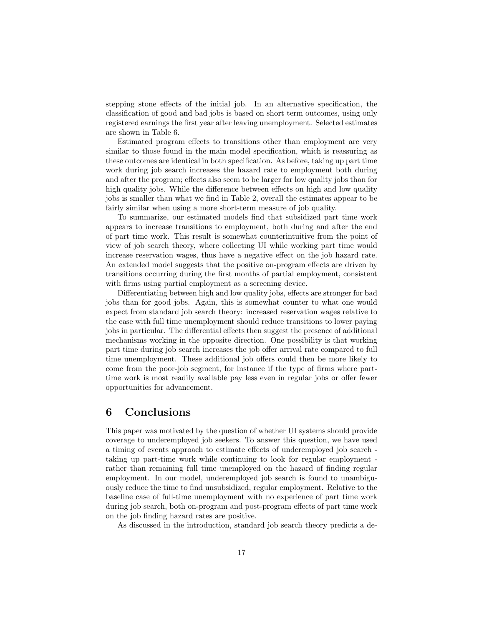stepping stone effects of the initial job. In an alternative specification, the classification of good and bad jobs is based on short term outcomes, using only registered earnings the first year after leaving unemployment. Selected estimates are shown in Table 6.

Estimated program effects to transitions other than employment are very similar to those found in the main model specification, which is reassuring as these outcomes are identical in both specification. As before, taking up part time work during job search increases the hazard rate to employment both during and after the program; effects also seem to be larger for low quality jobs than for high quality jobs. While the difference between effects on high and low quality jobs is smaller than what we find in Table 2, overall the estimates appear to be fairly similar when using a more short-term measure of job quality.

To summarize, our estimated models find that subsidized part time work appears to increase transitions to employment, both during and after the end of part time work. This result is somewhat counterintuitive from the point of view of job search theory, where collecting UI while working part time would increase reservation wages, thus have a negative effect on the job hazard rate. An extended model suggests that the positive on-program effects are driven by transitions occurring during the first months of partial employment, consistent with firms using partial employment as a screening device.

Differentiating between high and low quality jobs, effects are stronger for bad jobs than for good jobs. Again, this is somewhat counter to what one would expect from standard job search theory: increased reservation wages relative to the case with full time unemployment should reduce transitions to lower paying jobs in particular. The differential effects then suggest the presence of additional mechanisms working in the opposite direction. One possibility is that working part time during job search increases the job offer arrival rate compared to full time unemployment. These additional job offers could then be more likely to come from the poor-job segment, for instance if the type of firms where parttime work is most readily available pay less even in regular jobs or offer fewer opportunities for advancement.

#### 6 Conclusions

This paper was motivated by the question of whether UI systems should provide coverage to underemployed job seekers. To answer this question, we have used a timing of events approach to estimate effects of underemployed job search taking up part-time work while continuing to look for regular employment rather than remaining full time unemployed on the hazard of finding regular employment. In our model, underemployed job search is found to unambiguously reduce the time to find unsubsidized, regular employment. Relative to the baseline case of full-time unemployment with no experience of part time work during job search, both on-program and post-program effects of part time work on the job finding hazard rates are positive.

As discussed in the introduction, standard job search theory predicts a de-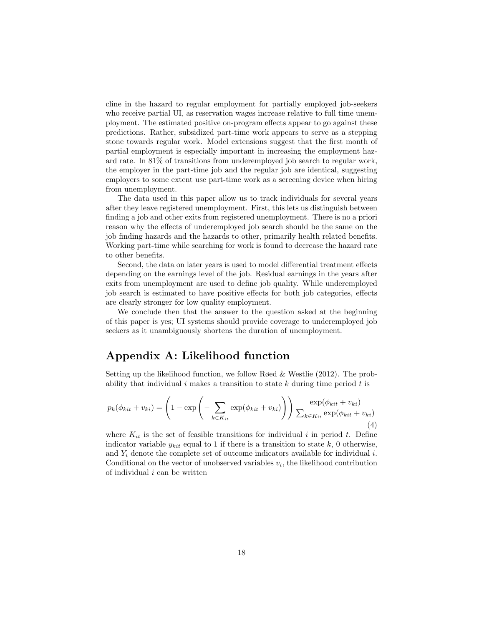cline in the hazard to regular employment for partially employed job-seekers who receive partial UI, as reservation wages increase relative to full time unemployment. The estimated positive on-program effects appear to go against these predictions. Rather, subsidized part-time work appears to serve as a stepping stone towards regular work. Model extensions suggest that the first month of partial employment is especially important in increasing the employment hazard rate. In 81% of transitions from underemployed job search to regular work, the employer in the part-time job and the regular job are identical, suggesting employers to some extent use part-time work as a screening device when hiring from unemployment.

The data used in this paper allow us to track individuals for several years after they leave registered unemployment. First, this lets us distinguish between finding a job and other exits from registered unemployment. There is no a priori reason why the effects of underemployed job search should be the same on the job finding hazards and the hazards to other, primarily health related benefits. Working part-time while searching for work is found to decrease the hazard rate to other benefits.

Second, the data on later years is used to model differential treatment effects depending on the earnings level of the job. Residual earnings in the years after exits from unemployment are used to define job quality. While underemployed job search is estimated to have positive effects for both job categories, effects are clearly stronger for low quality employment.

We conclude then that the answer to the question asked at the beginning of this paper is yes; UI systems should provide coverage to underemployed job seekers as it unambiguously shortens the duration of unemployment.

#### Appendix A: Likelihood function

Setting up the likelihood function, we follow Røed & Westlie (2012). The probability that individual i makes a transition to state  $k$  during time period  $t$  is

$$
p_k(\phi_{kit} + v_{ki}) = \left(1 - \exp\left(-\sum_{k \in K_{it}} \exp(\phi_{kit} + v_{ki})\right)\right) \frac{\exp(\phi_{kit} + v_{ki})}{\sum_{k \in K_{it}} \exp(\phi_{kit} + v_{ki})}
$$
(4)

where  $K_{it}$  is the set of feasible transitions for individual i in period t. Define indicator variable  $y_{kit}$  equal to 1 if there is a transition to state k, 0 otherwise, and  $Y_i$  denote the complete set of outcome indicators available for individual i. Conditional on the vector of unobserved variables  $v_i$ , the likelihood contribution of individual  $i$  can be written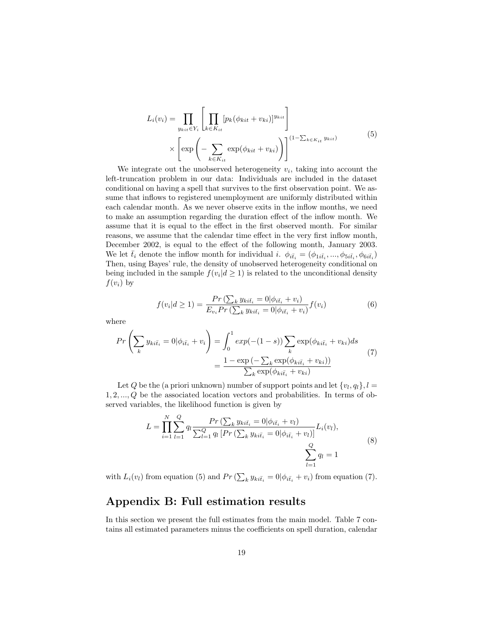$$
L_i(v_i) = \prod_{y_{kit}\in Y_i} \left[ \prod_{k\in K_{it}} [p_k(\phi_{kit} + v_{ki})]^{y_{kit}} \right]
$$
  
 
$$
\times \left[ \exp\left(-\sum_{k\in K_{it}} \exp(\phi_{kit} + v_{ki})\right) \right]^{(1-\sum_{k\in K_{it}} y_{kit})}
$$
 (5)

We integrate out the unobserved heterogeneity  $v_i$ , taking into account the left-truncation problem in our data: Individuals are included in the dataset conditional on having a spell that survives to the first observation point. We assume that inflows to registered unemployment are uniformly distributed within each calendar month. As we never observe exits in the inflow months, we need to make an assumption regarding the duration effect of the inflow month. We assume that it is equal to the effect in the first observed month. For similar reasons, we assume that the calendar time effect in the very first inflow month, December 2002, is equal to the effect of the following month, January 2003. We let  $\bar{t}_i$  denote the inflow month for individual i.  $\phi_{i\bar{t}_i} = (\phi_{1i\bar{t}_i}, ..., \phi_{5i\bar{t}_i}, \phi_{6i\bar{t}_i})$ Then, using Bayes' rule, the density of unobserved heterogeneity conditional on being included in the sample  $f(v_i | d \ge 1)$  is related to the unconditional density  $f(v_i)$  by

$$
f(v_i|d \ge 1) = \frac{Pr\left(\sum_k y_{ki\bar{t}_i} = 0 | \phi_{i\bar{t}_i} + v_i\right)}{E_{v_i} Pr\left(\sum_k y_{ki\bar{t}_i} = 0 | \phi_{i\bar{t}_i} + v_i\right)} f(v_i)
$$
(6)

where

$$
Pr\left(\sum_{k} y_{ki\bar{t}_{i}} = 0 | \phi_{i\bar{t}_{i}} + v_{i} \right) = \int_{0}^{1} exp(-(1-s)) \sum_{k} exp(\phi_{ki\bar{t}_{i}} + v_{ki}) ds
$$

$$
= \frac{1 - exp(-\sum_{k} exp(\phi_{ki\bar{t}_{i}} + v_{ki}))}{\sum_{k} exp(\phi_{ki\bar{t}_{i}} + v_{ki})}
$$
(7)

Let Q be the (a priori unknown) number of support points and let  $\{v_l, q_l\}, l =$  $1, 2, \ldots, Q$  be the associated location vectors and probabilities. In terms of observed variables, the likelihood function is given by

$$
L = \prod_{i=1}^{N} \sum_{l=1}^{Q} q_l \frac{Pr\left(\sum_k y_{ki\bar{t}_i} = 0 | \phi_{i\bar{t}_i} + v_l\right)}{\sum_{l=1}^{Q} q_l \left[ Pr\left(\sum_k y_{ki\bar{t}_i} = 0 | \phi_{i\bar{t}_i} + v_l\right) \right]} L_i(v_l),
$$
\n
$$
\sum_{l=1}^{Q} q_l = 1
$$
\n(8)

with  $L_i(v_l)$  from equation (5) and  $Pr\left(\sum_k y_{ki\bar{t}_i} = 0 | \phi_{i\bar{t}_i} + v_i\right)$  from equation (7).

#### Appendix B: Full estimation results

In this section we present the full estimates from the main model. Table 7 contains all estimated parameters minus the coefficients on spell duration, calendar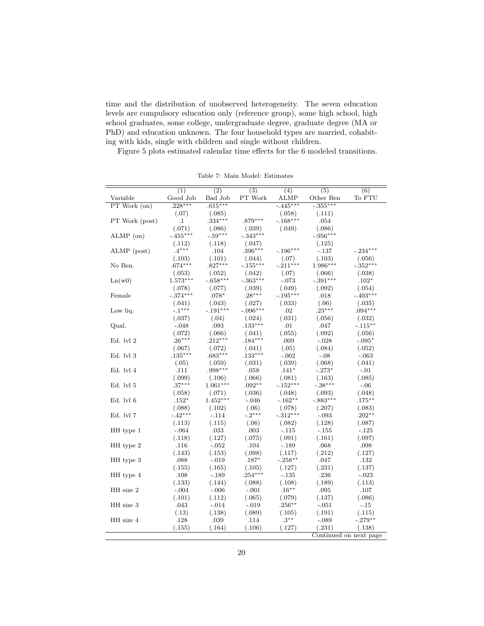time and the distribution of unobserved heterogeneity. The seven education levels are compulsory education only (reference group), some high school, high school graduates, some college, undergraduate degree, graduate degree (MA or PhD) and education unknown. The four household types are married, cohabiting with kids, single with children and single without children.

Figure 5 plots estimated calendar time effects for the 6 modeled transitions.

|                | (1)        | (2)        | (3)        | (4)        | (5)        | (6)                    |
|----------------|------------|------------|------------|------------|------------|------------------------|
| Variable       | Good Job   | Bad Job    | PT Work    | ALMP       | Other Ben  | To FTU                 |
| PT Work (on)   | $.228***$  | $.615***$  |            | $-.445***$ | $-.355***$ |                        |
|                | (.07)      | (.085)     |            | (.058)     | (.111)     |                        |
| PT Work (post) | $\cdot$ 1  | $.334***$  | .879***    | $-.168***$ | .054       |                        |
|                | (.071)     | (.086)     | (.039)     | (.049)     | (.086)     |                        |
| $ALMP$ (on)    | $-.455***$ | $-.59***$  | $-.343***$ |            | $-.956***$ |                        |
|                | (.112)     | (.118)     | (.047)     |            | (.125)     |                        |
| ALMP (post)    | $.4***$    | .104       | $.396***$  | $-.196***$ | $-.137$    | $-.234***$             |
|                | (.103)     | (.101)     | (.044)     | (.07)      | (.103)     | (.056)                 |
| No Ben.        | $.674***$  | $.827***$  | $-.155***$ | $-.211***$ | $1.986***$ | $-.352***$             |
|                | (.053)     | (.052)     | (.042)     | (.07)      | (.066)     | (.038)                 |
| Ln(w0)         | $1.573***$ | $-.658***$ | $-.363***$ | $-.073$    | $-.391***$ | $.102*$                |
|                | (.078)     | (.077)     | (.039)     | (.049)     | (.092)     | (.054)                 |
| Female         | $-.374***$ | $.078*$    | $.28***$   | $-.195***$ | .018       | $-.403***$             |
|                | (.041)     | (.043)     | (.027)     | (.033)     | (.06)      | (.035)                 |
| Low liq.       | $-.1***$   | $-.191***$ | $-.096***$ | .02        | $.23***$   | $.094***$              |
|                | (.037)     | (.04)      | (.024)     | (.031)     | (.056)     | (.032)                 |
| Qual.          | $-.048$    | .093       | $.133***$  | .01        | .047       | $-.115***$             |
|                | (.072)     | (.066)     | (.041)     | (.055)     | (.092)     | (.056)                 |
| Ed. lvl 2      | $.26***$   | $.212***$  | $.184***$  | .009       | $-.028$    | $-.095*$               |
|                | (.067)     | (.072)     | (.041)     | (.05)      | (.084)     | (.052)                 |
| Ed. lvl 3      | $.135***$  | $.683***$  | $.133***$  | $-.002$    | $-.08$     | $-.063$                |
|                | (.05)      | (.059)     | (.031)     | (.039)     | (.068)     | (.041)                 |
| Ed. lvl 4      | .111       | .998***    | .058       | $.141*$    | $-.273*$   | $-.01$                 |
|                | (.099)     | (.106)     | (.066)     | (.081)     | (.163)     | (.085)                 |
| Ed. lvl 5      | $.37***$   | $1.061***$ | $.092**$   | $-.152***$ | $-.38***$  | $-.06$                 |
|                | (.058)     | (.071)     | (.036)     | (.048)     | (.093)     | (.048)                 |
| Ed. lvl 6      | $.152*$    | $1.452***$ | $-.046$    | $-.162**$  | $-.883***$ | $.175***$              |
|                | (.088)     | (.102)     | (.06)      | (.078)     | (.207)     | (.083)                 |
| Ed. lvl 7      | $-.42***$  | $-.114$    | $-.2***$   | $-.312***$ | $-.093$    | $.202**$               |
|                | (.113)     | (.115)     | (.06)      | (.082)     | (.128)     | (.087)                 |
| HH type 1      | $-.064$    | .033       | .003       | $-.115$    | $-155$     | $-125$                 |
|                | (.118)     | (.127)     | (.075)     | (.091)     | (.161)     | (.097)                 |
| HH type 2      | .116       | $-.052$    | .104       | $-.189$    | .068       | .098                   |
|                | (.143)     | (.153)     | (.098)     | (.117)     | (.212)     | (.127)                 |
| HH type 3      | .088       | $-.019$    | $.187*$    | $-.258**$  | .047       | .132                   |
|                | (.155)     | (.165)     | (.105)     | (.127)     | (.231)     | (.137)                 |
| HH type 4      | .108       | $-.189$    | $.254***$  | $-.135$    | .236       | $-.023$                |
|                | (.133)     | (.144)     | (.088)     | (.108)     | (.189)     | (.113)                 |
| HH size 2      | $-.004$    | $-.006$    | $-.001$    | $.16***$   | .095       | .107                   |
|                | (.101)     | (.112)     | (.065)     | (.079)     | (.137)     | (.086)                 |
| HH size 3      | .043       | $-.014$    | $-.019$    | $.256***$  | $-.051$    | $-.15$                 |
|                | (.13)      | (.138)     | (.089)     | (.105)     | (.191)     | (.115)                 |
| HH size 4      | .128       | .039       | .114       | $.3***$    | $-.089$    | $-.279**$              |
|                | (.155)     | (.164)     | (.106)     | (.127)     | (.231)     | (.138)                 |
|                |            |            |            |            |            | Continued on next page |

Table 7: Main Model: Estimates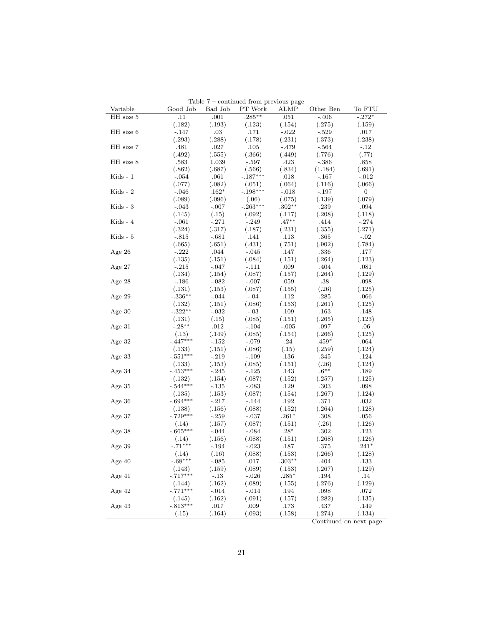| Variable          | Good Job             | Bad Job           | Lable t – continued from previous page<br>PT Work | ALMP             | Other Ben       | To FTU                 |
|-------------------|----------------------|-------------------|---------------------------------------------------|------------------|-----------------|------------------------|
| HH size 5         | .11                  | .001              | $.285***$                                         | .051             | $-406$          | $-.272*$               |
|                   | (.182)               | (.193)            | (.123)                                            | (.154)           | (.275)          | (.159)                 |
| HH size 6         | $-.147$              | $.03\,$           | .171                                              | $-.022$          | $-.529$         | .017                   |
|                   | (.293)               | (.288)            | (.178)                                            | (.231)           | (.373)          | (.238)                 |
| $\rm HH$ size $7$ | .481                 | .027              | .105                                              | $-.479$          | $-564$          | $-.12$                 |
|                   | (.492)               | (.555)            | (.366)                                            | (.449)           | (.776)          | (.77)                  |
| HH size 8         | .583                 | 1.039             | -.597                                             | .423             | $-.386$         | $.858\,$               |
|                   | (.862)               | (.687)            | (.566)                                            | (.834)           | (1.184)         | (.691)                 |
| $Kids - 1$        | $-.054$              | .061              | $-.187***$                                        | .018             | $-167$          | $-.012$                |
|                   | (.077)               | (.082)            | (.051)                                            | (.064)           | (.116)          | (.066)                 |
| Kids - 2          | $-.046$              | $.162*$           | $-.198***$                                        | $-.018$          | - 197           | $\overline{0}$         |
|                   | (.089)               | (.096)            | (.06)                                             | (.075)           | (.139)          | (.079)                 |
| $Kids - 3$        | $-.043$              | $-.007$           | $-.263***$                                        | $.302**$         | .239            | .094                   |
|                   | (.145)               | (.15)             | (.092)                                            | (.117)           | (.208)          | (.118)                 |
| Kids - 4          | $-.061$              | $-.271$           | $-.249$                                           | $.47**$          | .414            | $-.274$                |
|                   | (.324)               | (.317)            | (.187)                                            | (.231)           | (.355)          | (.271)                 |
| Kids - 5          | $-.815$              | $-.681$           | .141                                              | .113             | .365            | $-.02$                 |
|                   | (.665)               | (.651)            | (.431)                                            | (.751)           | (.902)          | (.784)                 |
| Age $26$          | $-.222$              | .044              | $-.045$                                           | .147             | .336            | .177                   |
|                   | (.135)               | (.151)            | (.084)                                            | (.151)           | (.264)          | (.123)                 |
| Age $27$          | $-.215$              | $-.047$           | $-.111$                                           | .009             | .404            | .081                   |
|                   | (.134)               | (.154)            | (.087)                                            | (.157)           | (.264)          | (.129)                 |
| Age $28$          | $-.186$              | $-.082$           | $-.007$                                           | .059             | .38             | .098                   |
|                   | (.131)               | (.153)            | (.087)                                            | (.155)           | (.26)           | (.125)                 |
| Age 29            | $-.336**$            | -.044             | $-.04$                                            | .112             | .285            | .066                   |
|                   | (.132)               | (.151)            | (.086)                                            | (.153)           | (.261)          | (.125)                 |
| Age $30$          | $-.322**$            | $-.032$           | $-.03$                                            | .109             | .163            | .148                   |
|                   | (.131)               | (.15)             | (.085)                                            | (.151)           | (.265)          | (.123)                 |
| Age 31            | $-.28***$            | .012              | $-.104$                                           | $-.005$          | .097            | $.06\,$                |
|                   | (.13)                | (.149)            | (.085)                                            | (.154)           | (.266)          | (.125)                 |
| Age 32            | $-.447***$           | $-152$            | $-.079$                                           | .24              | $.459*$         | .064                   |
|                   | (.133)               | (.151)            | (.086)                                            | (.15)            | (.259)          | (.124)                 |
|                   | $-.551***$           | $-.219$           | $-.109$                                           | .136             | .345            | .124                   |
| Age 33            |                      | (.153)            | (.085)                                            | (.151)           | (.26)           | (.124)                 |
| Age 34            | (.133)<br>$-.453***$ | -.245             | $-125$                                            | .143             | $.6^{\ast\ast}$ | .189                   |
|                   |                      | (.154)            | (.087)                                            | (.152)           | (.257)          | (.125)                 |
|                   | (.132)<br>$-.544***$ | $-.135$           | $-.083$                                           | .129             | .303            |                        |
| Age $35$          |                      |                   |                                                   |                  |                 | .098                   |
|                   | (.135)<br>$-.694***$ | (.153)<br>$-.217$ | (.087)                                            | (.154)           | (.267)          | (.124)                 |
| Age 36            |                      |                   | - 144                                             | .192             | .371<br>(.264)  | .032                   |
|                   | (.138)<br>$-.729***$ | (.156)            | (.088)<br>$-.037$                                 | (.152)           |                 | (.128)<br>.056         |
| Age $37$          | (.14)                | $-.259$           |                                                   | $.261*$          | .308            |                        |
|                   | $-.665***$           | (.157)            | (.087)                                            | (.151)<br>$.28*$ | (.26)<br>.302   | (.126)                 |
| Age 38            |                      | $-.044$           | $-.084$                                           |                  |                 | .123                   |
|                   | (.14)<br>$-.71***$   | (.156)            | (.088)                                            | (.151)           | (.268)          | (.126)                 |
| Age 39            |                      | -.194             | $-.023$                                           | .187             | .375            | $.241*$                |
|                   | (.14)                | (.16)             | (.088)                                            | (.153)           | (.266)          | (.128)                 |
| Age $40$          | $-.68***$            | -.085             | .017                                              | $.303**$         | .404            | .133                   |
|                   | (.143)               | (.159)            | (.089)                                            | (.153)           | (.267)          | (.129)                 |
| Age $41$          | $-.717***$           | -.13              | $-.026$                                           | $.285*$          | .194            | .14                    |
|                   | (.144)               | (.162)            | (.089)                                            | (.155)           | (.276)          | (.129)                 |
| Age 42            | $-.771***$           | -.014             | $-.014$                                           | .194             | .098            | .072                   |
|                   | (.145)               | (.162)            | (.091)                                            | (.157)           | (.282)          | (.135)                 |
| Age 43            | $-.813***$           | .017              | $.009\,$                                          | .173             | .437            | .149                   |
|                   | (.15)                | (.164)            | (.093)                                            | (.158)           | (.274)          | (.134)                 |
|                   |                      |                   |                                                   |                  |                 | Continued on next page |

Table 7 – continued from previous page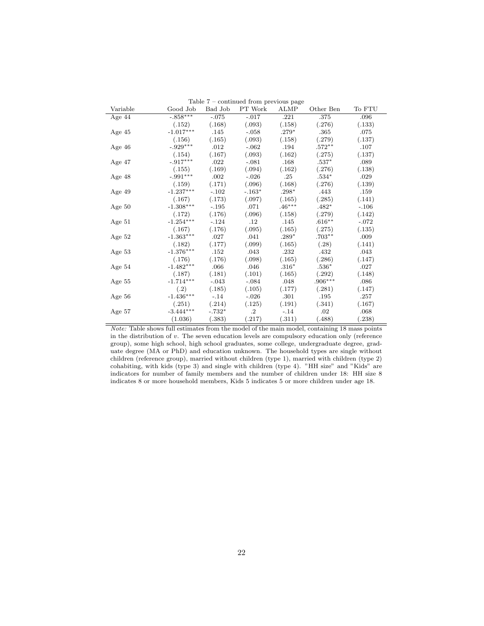| Variable | Good Job              | Bad Job  | $I$ able $I$ – continued from previous page<br>PT Work | <b>ALMP</b> | Other Ben         | To FTU  |
|----------|-----------------------|----------|--------------------------------------------------------|-------------|-------------------|---------|
| Age $44$ | $-0.858***$           | $-.075$  | $-0.017$                                               | .221        | .375              | .096    |
|          | (.152)                | (.168)   | (.093)                                                 | (.158)      | (.276)            | (.133)  |
| Age 45   | $-1.017***$           | .145     | $-.058$                                                | $.279*$     | .365              | .075    |
|          | (.156)                | (.165)   | (.093)                                                 | (.158)      | (.279)            | (.137)  |
| Age 46   | $-.929***$            | .012     | $-.062$                                                | .194        | $.572^{\ast\ast}$ | .107    |
|          | (.154)                | (.167)   | (.093)                                                 | (.162)      | (.275)            | (.137)  |
| Age $47$ | $-.917***$            | .022     | $-.081$                                                | .168        | $.537*$           | .089    |
|          | (.155)                | (.169)   | (.094)                                                 | (.162)      | (.276)            | (.138)  |
| Age 48   | $-.991***$            | .002     | $-.026$                                                | .25         | $.534*$           | .029    |
|          | (.159)                | (.171)   | (.096)                                                 | (.168)      | (.276)            | (.139)  |
| Age $49$ | $-1.237***$           | $-.102$  | $-.163*$                                               | $.298*$     | .443              | .159    |
|          | (.167)                | (.173)   | (.097)                                                 | (.165)      | (.285)            | (.141)  |
| Age $50$ | $-1.308***$           | $-.195$  | .071                                                   | $.46***$    | $.482*$           | $-.106$ |
|          | (.172)                | (.176)   | (.096)                                                 | (.158)      | (.279)            | (.142)  |
| Age $51$ | $-1.254***$           | $-.124$  | .12                                                    | .145        | $.616**$          | $-.072$ |
|          | (.167)                | (.176)   | (.095)                                                 | (.165)      | (.275)            | (.135)  |
| Age $52$ | $-1.363***$           | .027     | .041                                                   | $.289*$     | $.703**$          | .009    |
|          | (.182)                | (.177)   | (.099)                                                 | (.165)      | (.28)             | (.141)  |
| Age $53$ | $-1.376***$           | .152     | .043                                                   | .232        | .432              | .043    |
|          | (.176)                | (.176)   | (.098)                                                 | (.165)      | (.286)            | (.147)  |
| Age 54   | $-1.482***$           | .066     | .046                                                   | $.316*$     | $.536*$           | .027    |
|          | (.187)                | (.181)   | (.101)                                                 | (.165)      | (.292)            | (.148)  |
| Age 55   | $-1.714***$           | $-.043$  | $-.084$                                                | .048        | $.906***$         | .086    |
|          | (.2)                  | (.185)   | (.105)                                                 | (.177)      | (.281)            | (.147)  |
| Age 56   | $\text{-}1.436^{***}$ | $-.14$   | $-.026$                                                | .301        | .195              | .257    |
|          | (.251)                | (.214)   | (.125)                                                 | (.191)      | (.341)            | (.167)  |
| Age 57   | $-3.444***$           | $-.732*$ | $\cdot$                                                | $-.14$      | .02               | .068    |
|          | (1.036)               | (.383)   | (.217)                                                 | (.311)      | (.488)            | .238)   |
|          |                       |          |                                                        |             |                   |         |

Table 7 – continued from previous page

Note: Table shows full estimates from the model of the main model, containing 18 mass points in the distribution of  $v$ . The seven education levels are compulsory education only (reference group), some high school, high school graduates, some college, undergraduate degree, graduate degree (MA or PhD) and education unknown. The household types are single without children (reference group), married without children (type 1), married with children (type 2) cohabiting, with kids (type 3) and single with children (type 4). "HH size" and "Kids" are indicators for number of family members and the number of children under 18: HH size 8 indicates 8 or more household members, Kids 5 indicates 5 or more children under age 18.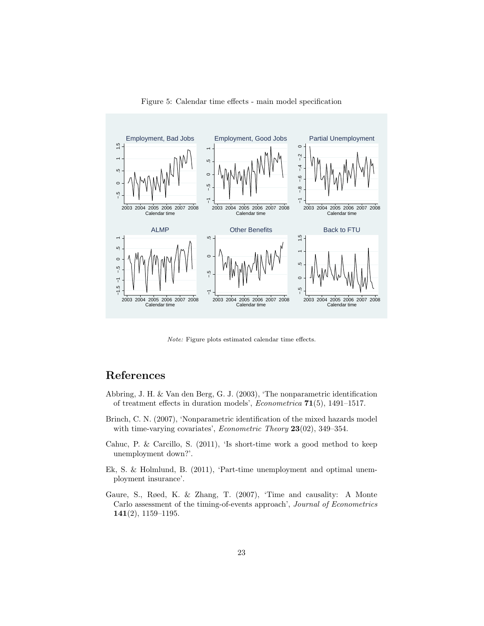

Figure 5: Calendar time effects - main model specification

Note: Figure plots estimated calendar time effects.

#### References

- Abbring, J. H. & Van den Berg, G. J. (2003), 'The nonparametric identification of treatment effects in duration models', Econometrica 71(5), 1491–1517.
- Brinch, C. N. (2007), 'Nonparametric identification of the mixed hazards model with time-varying covariates', *Econometric Theory* 23(02), 349-354.
- Cahuc, P. & Carcillo, S. (2011), 'Is short-time work a good method to keep unemployment down?'.
- Ek, S. & Holmlund, B. (2011), 'Part-time unemployment and optimal unemployment insurance'.
- Gaure, S., Røed, K. & Zhang, T. (2007), 'Time and causality: A Monte Carlo assessment of the timing-of-events approach', Journal of Econometrics 141(2), 1159–1195.